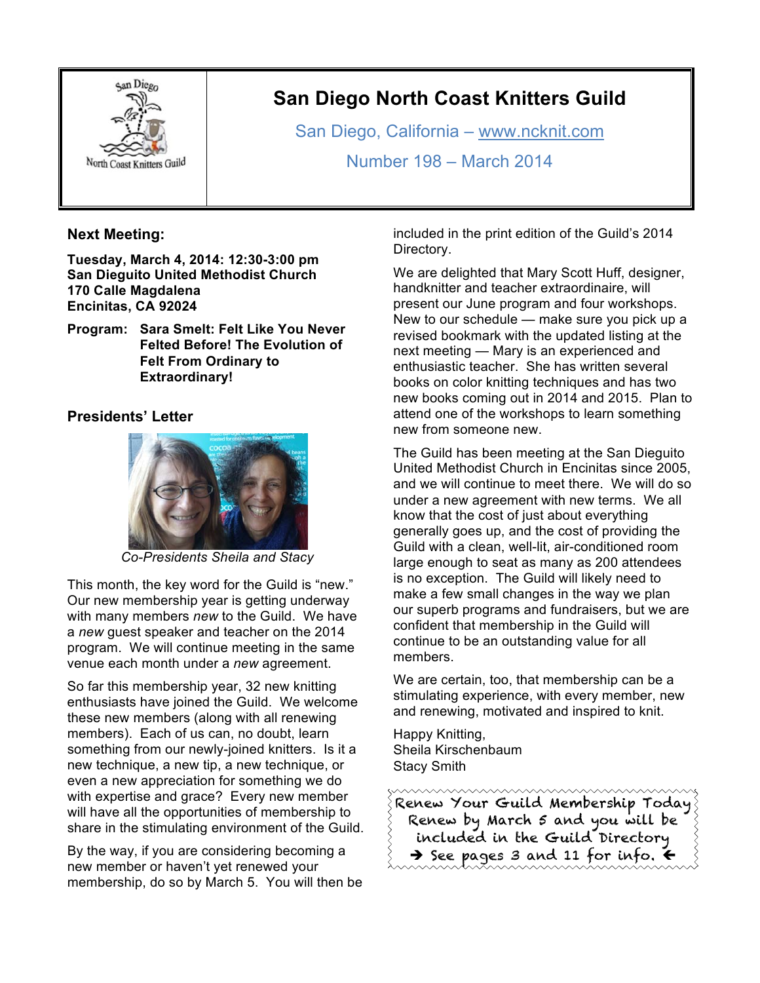

# **San Diego North Coast Knitters Guild**

San Diego, California – www.ncknit.com

Number 198 – March 2014

### **Next Meeting:**

**Tuesday, March 4, 2014: 12:30-3:00 pm San Dieguito United Methodist Church 170 Calle Magdalena Encinitas, CA 92024**

**Program: Sara Smelt: Felt Like You Never Felted Before! The Evolution of Felt From Ordinary to Extraordinary!**

### **Presidents' Letter**



*Co-Presidents Sheila and Stacy*

This month, the key word for the Guild is "new." Our new membership year is getting underway with many members *new* to the Guild. We have a *new* guest speaker and teacher on the 2014 program. We will continue meeting in the same venue each month under a *new* agreement.

So far this membership year, 32 new knitting enthusiasts have joined the Guild. We welcome these new members (along with all renewing members). Each of us can, no doubt, learn something from our newly-joined knitters. Is it a new technique, a new tip, a new technique, or even a new appreciation for something we do with expertise and grace? Every new member will have all the opportunities of membership to share in the stimulating environment of the Guild.

By the way, if you are considering becoming a new member or haven't yet renewed your membership, do so by March 5. You will then be included in the print edition of the Guild's 2014 Directory.

We are delighted that Mary Scott Huff, designer, handknitter and teacher extraordinaire, will present our June program and four workshops. New to our schedule — make sure you pick up a revised bookmark with the updated listing at the next meeting — Mary is an experienced and enthusiastic teacher. She has written several books on color knitting techniques and has two new books coming out in 2014 and 2015. Plan to attend one of the workshops to learn something new from someone new.

The Guild has been meeting at the San Dieguito United Methodist Church in Encinitas since 2005, and we will continue to meet there. We will do so under a new agreement with new terms. We all know that the cost of just about everything generally goes up, and the cost of providing the Guild with a clean, well-lit, air-conditioned room large enough to seat as many as 200 attendees is no exception. The Guild will likely need to make a few small changes in the way we plan our superb programs and fundraisers, but we are confident that membership in the Guild will continue to be an outstanding value for all members.

We are certain, too, that membership can be a stimulating experience, with every member, new and renewing, motivated and inspired to knit.

Happy Knitting, Sheila Kirschenbaum Stacy Smith

Renew Your Guild Membership Today Renew by March 5 and you will be included in the Guild Directory  $\rightarrow$  See pages 3 and 11 for info.  $\leftarrow$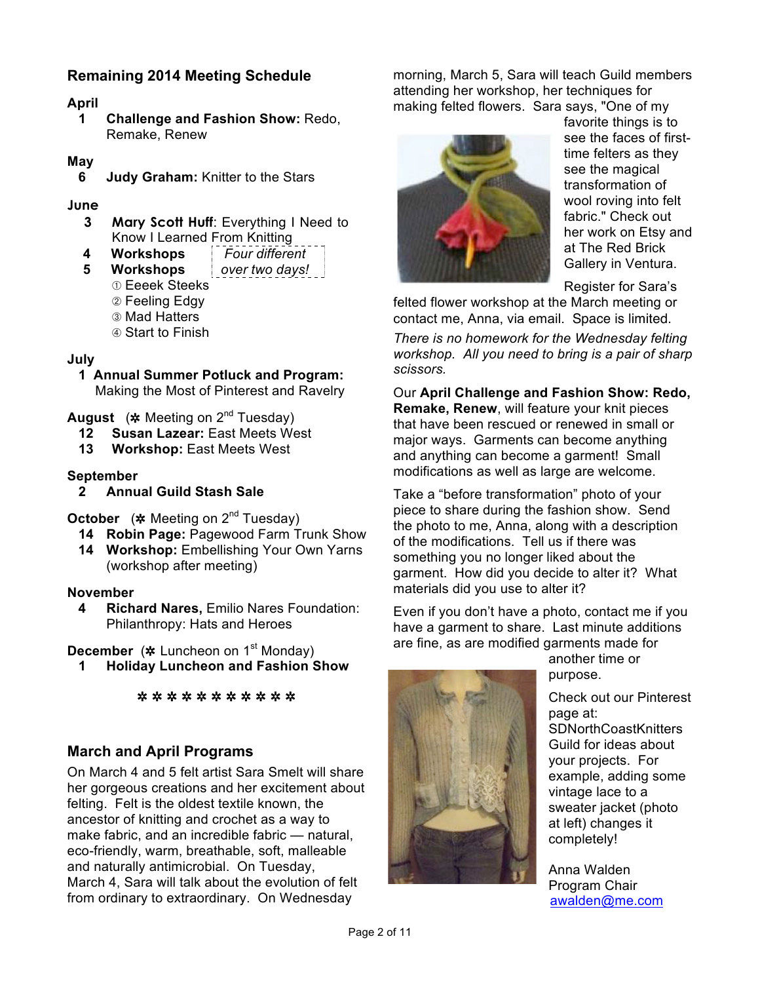## **Remaining 2014 Meeting Schedule**

#### **April**

**1 Challenge and Fashion Show:** Redo, Remake, Renew

#### **May**

**6 Judy Graham:** Knitter to the Stars

#### **June**

- **3 Mary Scott Huff**: Everything I Need to Know I Learned From Knitting
- **4 Workshops** *Four different*
- **5 Workshops** *over two days!*
	- ➀ Eeeek Steeks
	- ➁ Feeling Edgy
	- ➂ Mad Hatters
	- ➃ Start to Finish

#### **July**

**1 Annual Summer Potluck and Program:**  Making the Most of Pinterest and Ravelry

**August** (✲ Meeting on 2nd Tuesday)

- **12 Susan Lazear:** East Meets West
- **13 Workshop:** East Meets West

#### **September**

**2 Annual Guild Stash Sale** 

**October** (✲ Meeting on 2nd Tuesday)

- **14 Robin Page:** Pagewood Farm Trunk Show
- 14 **Workshop:** Embellishing Your Own Yarns (workshop after meeting)

#### **November**

**4 Richard Nares,** Emilio Nares Foundation: Philanthropy: Hats and Heroes

**December** (\* Luncheon on 1<sup>st</sup> Monday)

**1 Holiday Luncheon and Fashion Show**

✲ ✲ ✲ ✲ ✲ ✲ ✲ ✲ ✲ ✲ ✲

### **March and April Programs**

On March 4 and 5 felt artist Sara Smelt will share her gorgeous creations and her excitement about felting. Felt is the oldest textile known, the ancestor of knitting and crochet as a way to make fabric, and an incredible fabric — natural, eco-friendly, warm, breathable, soft, malleable and naturally antimicrobial. On Tuesday, March 4, Sara will talk about the evolution of felt from ordinary to extraordinary. On Wednesday

morning, March 5, Sara will teach Guild members attending her workshop, her techniques for making felted flowers. Sara says, "One of my



favorite things is to see the faces of firsttime felters as they see the magical transformation of wool roving into felt fabric." Check out her work on Etsy and at The Red Brick Gallery in Ventura.

Register for Sara's

felted flower workshop at the March meeting or contact me, Anna, via email. Space is limited.

*There is no homework for the Wednesday felting workshop. All you need to bring is a pair of sharp scissors.*

Our **April Challenge and Fashion Show: Redo, Remake, Renew**, will feature your knit pieces that have been rescued or renewed in small or major ways. Garments can become anything and anything can become a garment! Small modifications as well as large are welcome.

Take a "before transformation" photo of your piece to share during the fashion show. Send the photo to me, Anna, along with a description of the modifications. Tell us if there was something you no longer liked about the garment. How did you decide to alter it? What materials did you use to alter it?

Even if you don't have a photo, contact me if you have a garment to share. Last minute additions are fine, as are modified garments made for



another time or purpose.

Check out our Pinterest page at: **SDNorthCoastKnitters** Guild for ideas about your projects. For example, adding some vintage lace to a sweater jacket (photo at left) changes it completely!

Anna Walden Program Chair awalden@me.com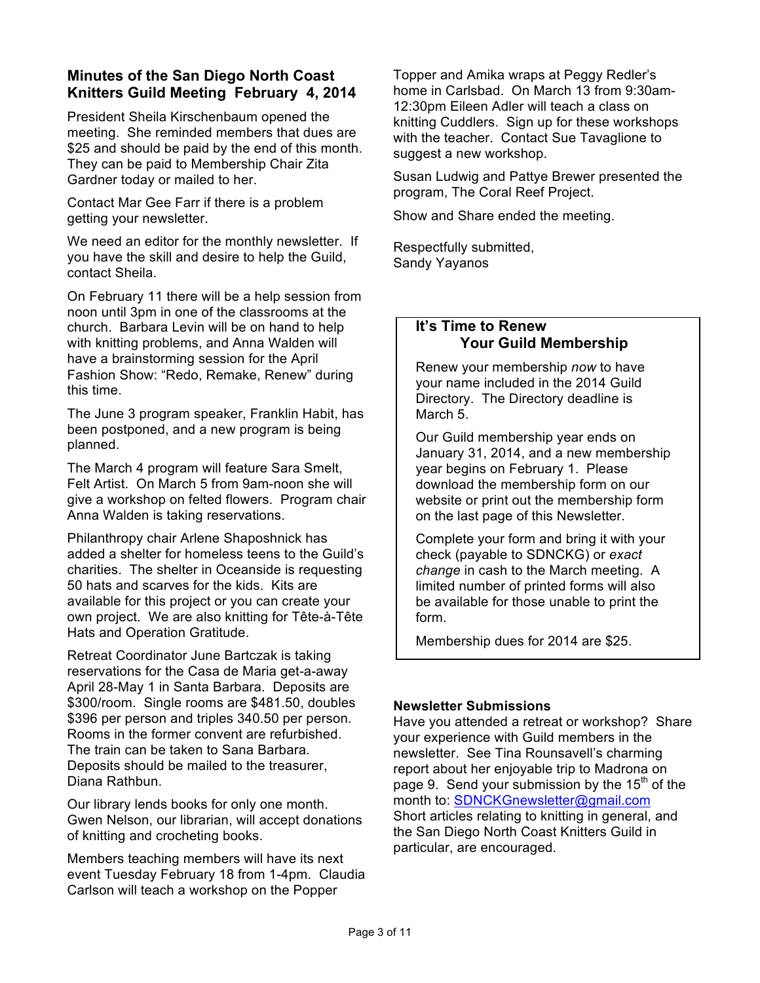## **Minutes of the San Diego North Coast Knitters Guild Meeting February 4, 2014**

President Sheila Kirschenbaum opened the meeting. She reminded members that dues are \$25 and should be paid by the end of this month. They can be paid to Membership Chair Zita Gardner today or mailed to her.

Contact Mar Gee Farr if there is a problem getting your newsletter.

We need an editor for the monthly newsletter. If you have the skill and desire to help the Guild, contact Sheila.

On February 11 there will be a help session from noon until 3pm in one of the classrooms at the church. Barbara Levin will be on hand to help with knitting problems, and Anna Walden will have a brainstorming session for the April Fashion Show: "Redo, Remake, Renew" during this time.

The June 3 program speaker, Franklin Habit, has been postponed, and a new program is being planned.

The March 4 program will feature Sara Smelt, Felt Artist. On March 5 from 9am-noon she will give a workshop on felted flowers. Program chair Anna Walden is taking reservations.

Philanthropy chair Arlene Shaposhnick has added a shelter for homeless teens to the Guild's charities. The shelter in Oceanside is requesting 50 hats and scarves for the kids. Kits are available for this project or you can create your own project. We are also knitting for Tête-à-Tête Hats and Operation Gratitude.

Retreat Coordinator June Bartczak is taking reservations for the Casa de Maria get-a-away April 28-May 1 in Santa Barbara. Deposits are \$300/room. Single rooms are \$481.50, doubles \$396 per person and triples 340.50 per person. Rooms in the former convent are refurbished. The train can be taken to Sana Barbara. Deposits should be mailed to the treasurer, Diana Rathbun.

Our library lends books for only one month. Gwen Nelson, our librarian, will accept donations of knitting and crocheting books.

Members teaching members will have its next event Tuesday February 18 from 1-4pm. Claudia Carlson will teach a workshop on the Popper

Topper and Amika wraps at Peggy Redler's home in Carlsbad. On March 13 from 9:30am-12:30pm Eileen Adler will teach a class on knitting Cuddlers. Sign up for these workshops with the teacher. Contact Sue Tavaglione to suggest a new workshop.

Susan Ludwig and Pattye Brewer presented the program, The Coral Reef Project.

Show and Share ended the meeting.

Respectfully submitted, Sandy Yayanos

#### **It's Time to Renew Your Guild Membership**

Renew your membership *now* to have your name included in the 2014 Guild Directory. The Directory deadline is March 5.

Our Guild membership year ends on January 31, 2014, and a new membership year begins on February 1. Please download the membership form on our website or print out the membership form on the last page of this Newsletter.

Complete your form and bring it with your check (payable to SDNCKG) or *exact change* in cash to the March meeting. A limited number of printed forms will also be available for those unable to print the form.

Membership dues for 2014 are \$25.

#### **Newsletter Submissions**

Have you attended a retreat or workshop? Share your experience with Guild members in the newsletter. See Tina Rounsavell's charming report about her enjoyable trip to Madrona on page 9. Send your submission by the  $15<sup>th</sup>$  of the month to: SDNCKGnewsletter@gmail.com Short articles relating to knitting in general, and the San Diego North Coast Knitters Guild in particular, are encouraged.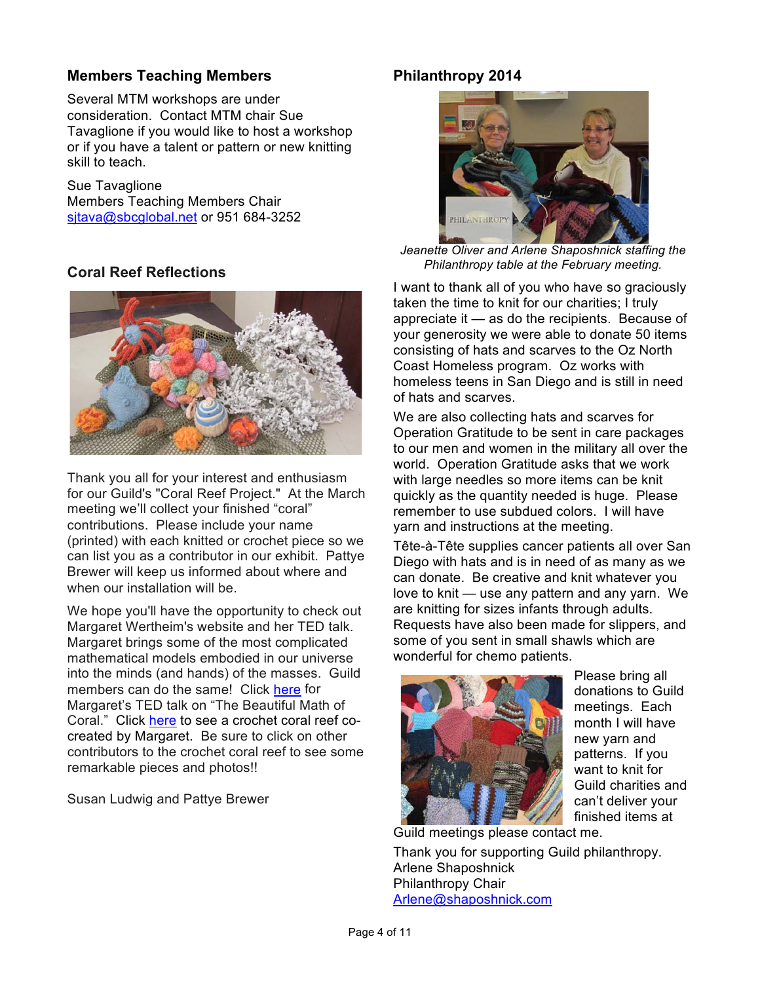## **Members Teaching Members**

Several MTM workshops are under consideration. Contact MTM chair Sue Tavaglione if you would like to host a workshop or if you have a talent or pattern or new knitting skill to teach.

Sue Tavaglione Members Teaching Members Chair sjtava@sbcglobal.net or 951 684-3252

## **Coral Reef Reflections**



Thank you all for your interest and enthusiasm for our Guild's "Coral Reef Project." At the March meeting we'll collect your finished "coral" contributions. Please include your name (printed) with each knitted or crochet piece so we can list you as a contributor in our exhibit. Pattye Brewer will keep us informed about where and when our installation will be.

We hope you'll have the opportunity to check out Margaret Wertheim's website and her TED talk. Margaret brings some of the most complicated mathematical models embodied in our universe into the minds (and hands) of the masses. Guild members can do the same! Click [here](http://www.ted.com/speakers/margaret_wertheim.html) for Margaret's TED talk on "The Beautiful Math of Coral." Click [here](http://crochetcoralreef.org/contributors/margaret_wertheim.php) to see a crochet coral reef cocreated by Margaret. Be sure to click on other contributors to the crochet coral reef to see some remarkable pieces and photos!!

Susan Ludwig and Pattye Brewer

## **Philanthropy 2014**



*Jeanette Oliver and Arlene Shaposhnick staffing the Philanthropy table at the February meeting.*

I want to thank all of you who have so graciously taken the time to knit for our charities; I truly appreciate it — as do the recipients. Because of your generosity we were able to donate 50 items consisting of hats and scarves to the Oz North Coast Homeless program. Oz works with homeless teens in San Diego and is still in need of hats and scarves.

We are also collecting hats and scarves for Operation Gratitude to be sent in care packages to our men and women in the military all over the world. Operation Gratitude asks that we work with large needles so more items can be knit quickly as the quantity needed is huge. Please remember to use subdued colors. I will have yarn and instructions at the meeting.

Tête-à-Tête supplies cancer patients all over San Diego with hats and is in need of as many as we can donate. Be creative and knit whatever you love to knit — use any pattern and any yarn. We are knitting for sizes infants through adults. Requests have also been made for slippers, and some of you sent in small shawls which are wonderful for chemo patients.



Please bring all donations to Guild meetings. Each month I will have new yarn and patterns. If you want to knit for Guild charities and can't deliver your finished items at

Guild meetings please contact me. Thank you for supporting Guild philanthropy. Arlene Shaposhnick Philanthropy Chair Arlene@shaposhnick.com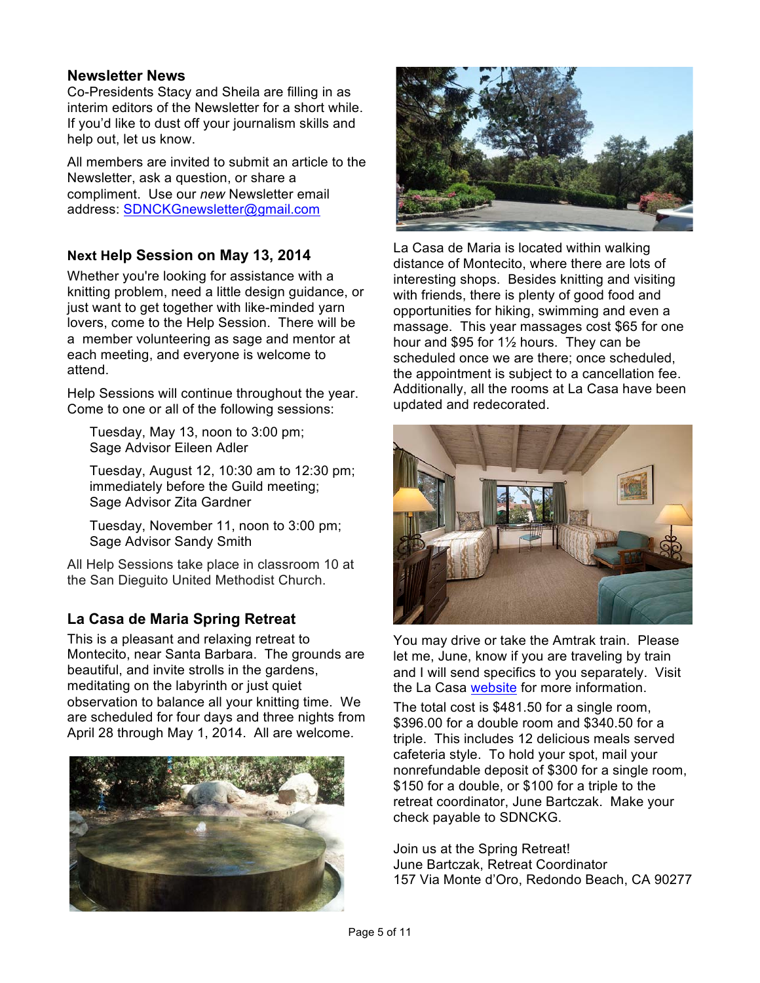### **Newsletter News**

Co-Presidents Stacy and Sheila are filling in as interim editors of the Newsletter for a short while. If you'd like to dust off your journalism skills and help out, let us know.

All members are invited to submit an article to the Newsletter, ask a question, or share a compliment. Use our *new* Newsletter email address: SDNCKGnewsletter@gmail.com

## **Next Help Session on May 13, 2014**

Whether you're looking for assistance with a knitting problem, need a little design guidance, or just want to get together with like-minded yarn lovers, come to the Help Session. There will be a member volunteering as sage and mentor at each meeting, and everyone is welcome to attend.

Help Sessions will continue throughout the year. Come to one or all of the following sessions:

Tuesday, May 13, noon to 3:00 pm; Sage Advisor Eileen Adler

Tuesday, August 12, 10:30 am to 12:30 pm; immediately before the Guild meeting; Sage Advisor Zita Gardner

Tuesday, November 11, noon to 3:00 pm; Sage Advisor Sandy Smith

All Help Sessions take place in classroom 10 at the San Dieguito United Methodist Church.

## **La Casa de Maria Spring Retreat**

This is a pleasant and relaxing retreat to Montecito, near Santa Barbara. The grounds are beautiful, and invite strolls in the gardens, meditating on the labyrinth or just quiet observation to balance all your knitting time. We are scheduled for four days and three nights from April 28 through May 1, 2014. All are welcome.





La Casa de Maria is located within walking distance of Montecito, where there are lots of interesting shops. Besides knitting and visiting with friends, there is plenty of good food and opportunities for hiking, swimming and even a massage. This year massages cost \$65 for one hour and \$95 for 1½ hours. They can be scheduled once we are there; once scheduled, the appointment is subject to a cancellation fee. Additionally, all the rooms at La Casa have been updated and redecorated.



You may drive or take the Amtrak train. Please let me, June, know if you are traveling by train and I will send specifics to you separately. Visit the La Casa [website](http://www.lacasademaria.org/) for more information.

The total cost is \$481.50 for a single room, \$396.00 for a double room and \$340.50 for a triple. This includes 12 delicious meals served cafeteria style. To hold your spot, mail your nonrefundable deposit of \$300 for a single room, \$150 for a double, or \$100 for a triple to the retreat coordinator, June Bartczak. Make your check payable to SDNCKG.

Join us at the Spring Retreat! June Bartczak, Retreat Coordinator 157 Via Monte d'Oro, Redondo Beach, CA 90277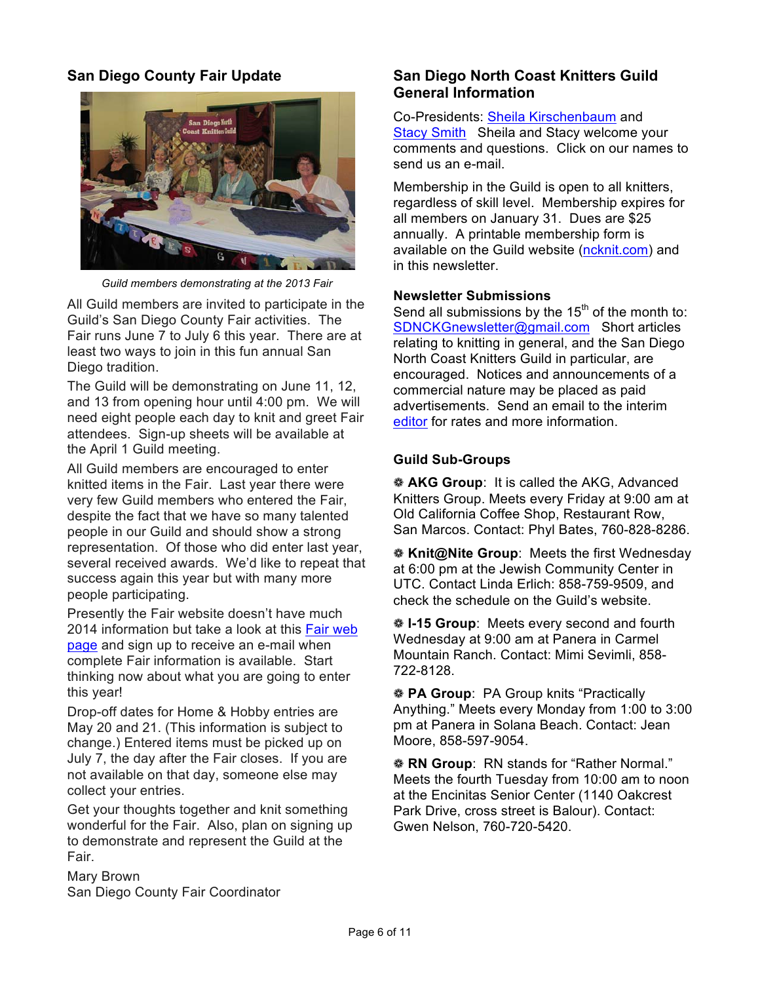## **San Diego County Fair Update**



*Guild members demonstrating at the 2013 Fair*

All Guild members are invited to participate in the Guild's San Diego County Fair activities. The Fair runs June 7 to July 6 this year. There are at least two ways to join in this fun annual San Diego tradition.

The Guild will be demonstrating on June 11, 12, and 13 from opening hour until 4:00 pm. We will need eight people each day to knit and greet Fair attendees. Sign-up sheets will be available at the April 1 Guild meeting.

All Guild members are encouraged to enter knitted items in the Fair. Last year there were very few Guild members who entered the Fair, despite the fact that we have so many talented people in our Guild and should show a strong representation. Of those who did enter last year, several received awards. We'd like to repeat that success again this year but with many more people participating.

Presently the Fair website doesn't have much [2014 information but take a look at this Fair web](http://www.sdfair.com/index.php?fuseaction=exhibits.home) page and sign up to receive an e-mail when complete Fair information is available. Start thinking now about what you are going to enter this year!

Drop-off dates for Home & Hobby entries are May 20 and 21. (This information is subject to change.) Entered items must be picked up on July 7, the day after the Fair closes. If you are not available on that day, someone else may collect your entries.

Get your thoughts together and knit something wonderful for the Fair. Also, plan on signing up to demonstrate and represent the Guild at the Fair.

Mary Brown San Diego County Fair Coordinator

## **San Diego North Coast Knitters Guild General Information**

Co-Presidents: Sheila Kirschenbaum and Stacy Smith Sheila and Stacy welcome your comments and questions. Click on our names to send us an e-mail.

Membership in the Guild is open to all knitters, regardless of skill level. Membership expires for all members on January 31. Dues are \$25 annually. A printable membership form is available on the Guild website [\(ncknit.com\)](www.ncknit.com) and in this newsletter.

#### **Newsletter Submissions**

Send all submissions by the  $15<sup>th</sup>$  of the month to: SDNCKGnewsletter@gmail.com Short articles relating to knitting in general, and the San Diego North Coast Knitters Guild in particular, are encouraged. Notices and announcements of a commercial nature may be placed as paid advertisements. Send an email to the interim editor for rates and more information.

#### **Guild Sub-Groups**

❁ **AKG Group**: It is called the AKG, Advanced Knitters Group. Meets every Friday at 9:00 am at Old California Coffee Shop, Restaurant Row, San Marcos. Contact: Phyl Bates, 760-828-8286.

❁ **Knit@Nite Group**: Meets the first Wednesday at 6:00 pm at the Jewish Community Center in UTC. Contact Linda Erlich: 858-759-9509, and check the schedule on the Guild's website.

❁ **I-15 Group**: Meets every second and fourth Wednesday at 9:00 am at Panera in Carmel Mountain Ranch. Contact: Mimi Sevimli, 858- 722-8128.

❁ **PA Group**: PA Group knits "Practically Anything." Meets every Monday from 1:00 to 3:00 pm at Panera in Solana Beach. Contact: Jean Moore, 858-597-9054.

❁ **RN Group**: RN stands for "Rather Normal." Meets the fourth Tuesday from 10:00 am to noon at the Encinitas Senior Center (1140 Oakcrest Park Drive, cross street is Balour). Contact: Gwen Nelson, 760-720-5420.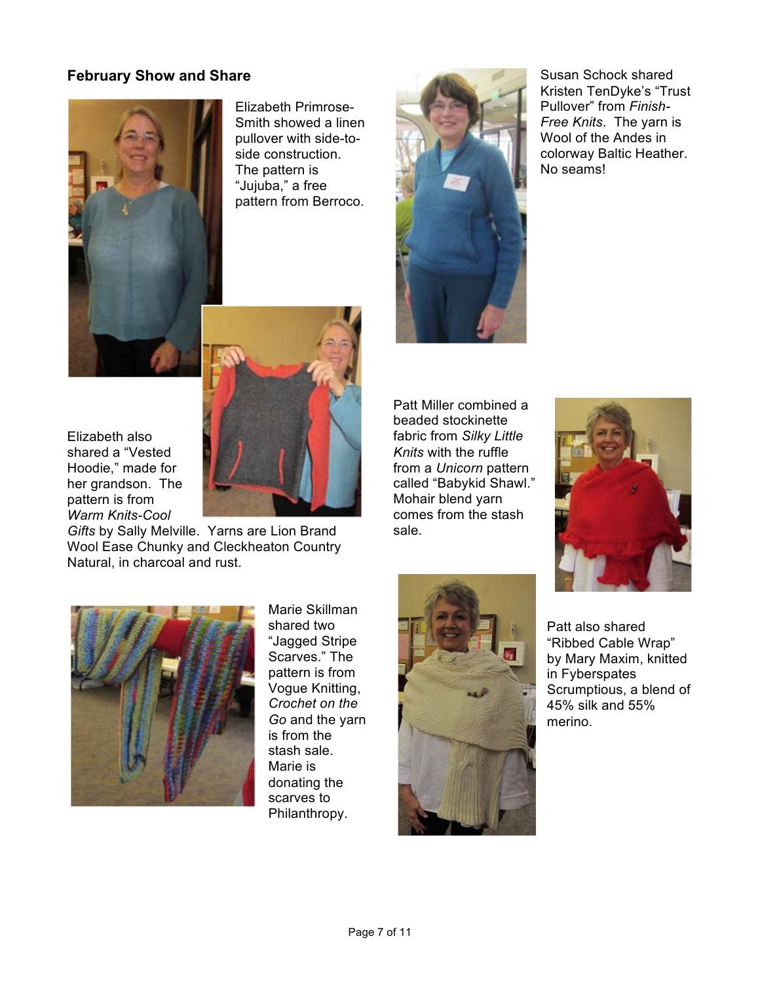## **February Show and Share**



Elizabeth Primrose-Smith showed a linen pullover with side-toside construction. The pattern is "Jujuba," a free pattern from Berroco.



*Gifts* by Sally Melville. Yarns are Lion Brand Wool Ease Chunky and Cleckheaton Country Natural, in charcoal and rust.



Susan Schock shared Kristen TenDyke's "Trust Pullover" from *Finish-Free Knits*. The yarn is Wool of the Andes in colorway Baltic Heather. No seams!

Patt Miller combined a beaded stockinette fabric from *Silky Little Knits* with the ruffle from a *Unicorn* pattern called "Babykid Shawl." Mohair blend yarn comes from the stash sale.





Marie Skillman shared two "Jagged Stripe Scarves." The pattern is from Vogue Knitting, *Crochet on the Go* and the yarn is from the stash sale. Marie is donating the scarves to Philanthropy.



Patt also shared "Ribbed Cable Wrap" by Mary Maxim, knitted in Fyberspates Scrumptious, a blend of 45% silk and 55% merino.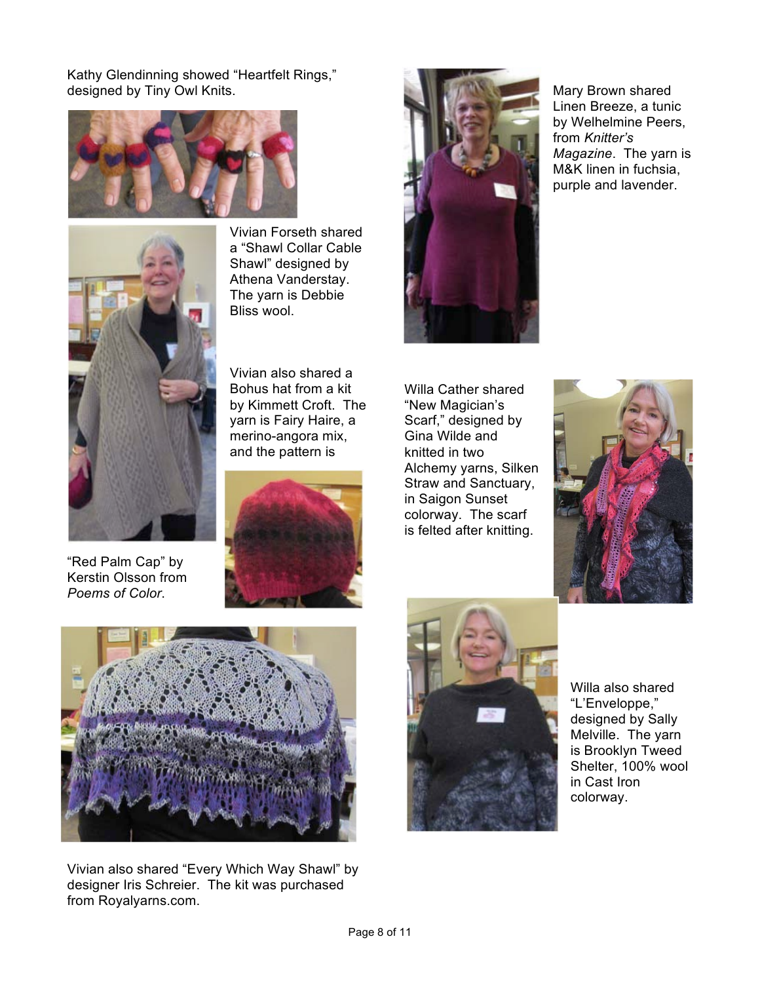Kathy Glendinning showed "Heartfelt Rings," designed by Tiny Owl Knits.





"Red Palm Cap" by Kerstin Olsson from *Poems of Color*.

Vivian Forseth shared a "Shawl Collar Cable Shawl" designed by Athena Vanderstay. The yarn is Debbie Bliss wool.

Vivian also shared a Bohus hat from a kit by Kimmett Croft. The yarn is Fairy Haire, a merino-angora mix, and the pattern is





Mary Brown shared Linen Breeze, a tunic by Welhelmine Peers, from *Knitter's Magazine*. The yarn is M&K linen in fuchsia, purple and lavender.

Willa Cather shared "New Magician's Scarf," designed by Gina Wilde and knitted in two Alchemy yarns, Silken Straw and Sanctuary, in Saigon Sunset colorway. The scarf is felted after knitting.





Vivian also shared "Every Which Way Shawl" by designer Iris Schreier. The kit was purchased from Royalyarns.com.

![](_page_7_Picture_12.jpeg)

Willa also shared "L'Enveloppe," designed by Sally Melville. The yarn is Brooklyn Tweed Shelter, 100% wool in Cast Iron colorway.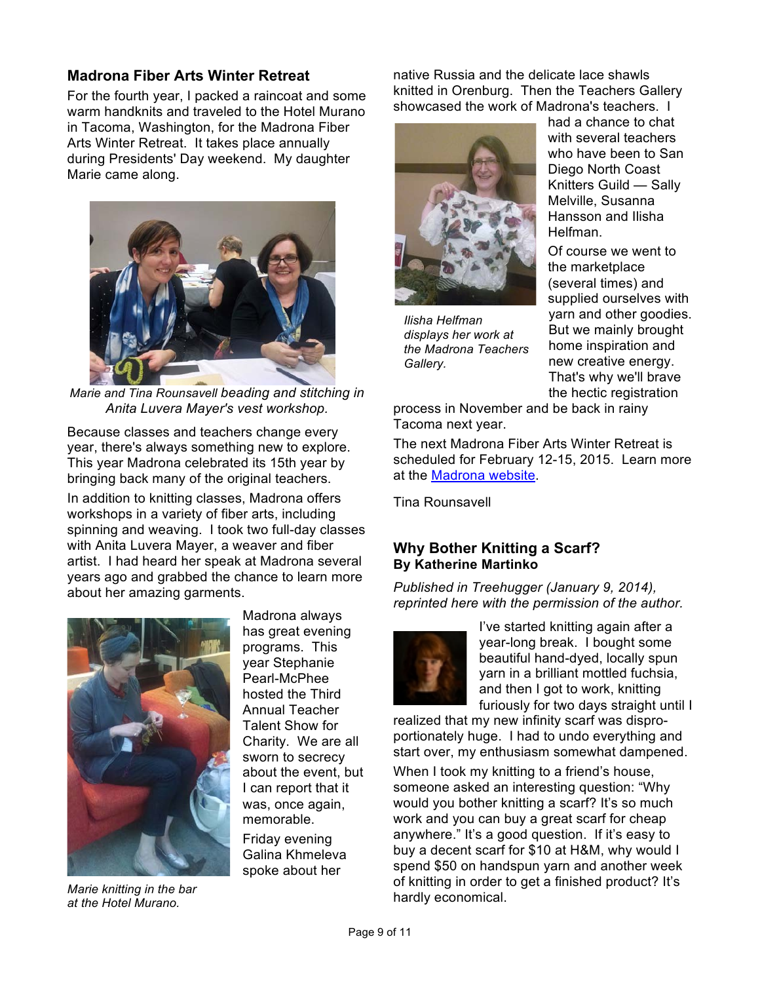### **Madrona Fiber Arts Winter Retreat**

For the fourth year, I packed a raincoat and some warm handknits and traveled to the Hotel Murano in Tacoma, Washington, for the Madrona Fiber Arts Winter Retreat. It takes place annually during Presidents' Day weekend. My daughter Marie came along.

![](_page_8_Picture_2.jpeg)

*Marie and Tina Rounsavell beading and stitching in Anita Luvera Mayer's vest workshop.*

Because classes and teachers change every year, there's always something new to explore. This year Madrona celebrated its 15th year by bringing back many of the original teachers.

In addition to knitting classes, Madrona offers workshops in a variety of fiber arts, including spinning and weaving. I took two full-day classes with Anita Luvera Mayer, a weaver and fiber artist. I had heard her speak at Madrona several years ago and grabbed the chance to learn more about her amazing garments.

![](_page_8_Picture_6.jpeg)

*Marie knitting in the bar at the Hotel Murano.*

Madrona always has great evening programs. This year Stephanie Pearl-McPhee hosted the Third Annual Teacher Talent Show for Charity. We are all sworn to secrecy about the event, but I can report that it was, once again, memorable.

Friday evening Galina Khmeleva spoke about her

native Russia and the delicate lace shawls knitted in Orenburg. Then the Teachers Gallery showcased the work of Madrona's teachers. I

![](_page_8_Picture_11.jpeg)

*Ilisha Helfman displays her work at the Madrona Teachers Gallery.*

had a chance to chat with several teachers who have been to San Diego North Coast Knitters Guild — Sally Melville, Susanna Hansson and Ilisha Helfman.

Of course we went to the marketplace (several times) and supplied ourselves with yarn and other goodies. But we mainly brought home inspiration and new creative energy. That's why we'll brave the hectic registration

process in November and be back in rainy Tacoma next year.

The next Madrona Fiber Arts Winter Retreat is scheduled for February 12-15, 2015. Learn more at the [Madrona website](http://madronafiberarts.com/).

Tina Rounsavell

#### **Why Bother Knitting a Scarf? By Katherine Martinko**

*Published in Treehugger (January 9, 2014), reprinted here with the permission of the author.*

![](_page_8_Picture_20.jpeg)

I've started knitting again after a year-long break. I bought some beautiful hand-dyed, locally spun yarn in a brilliant mottled fuchsia, and then I got to work, knitting furiously for two days straight until I

realized that my new infinity scarf was disproportionately huge. I had to undo everything and start over, my enthusiasm somewhat dampened.

When I took my knitting to a friend's house, someone asked an interesting question: "Why would you bother knitting a scarf? It's so much work and you can buy a great scarf for cheap anywhere." It's a good question. If it's easy to buy a decent scarf for \$10 at H&M, why would I spend \$50 on handspun yarn and another week of knitting in order to get a finished product? It's hardly economical.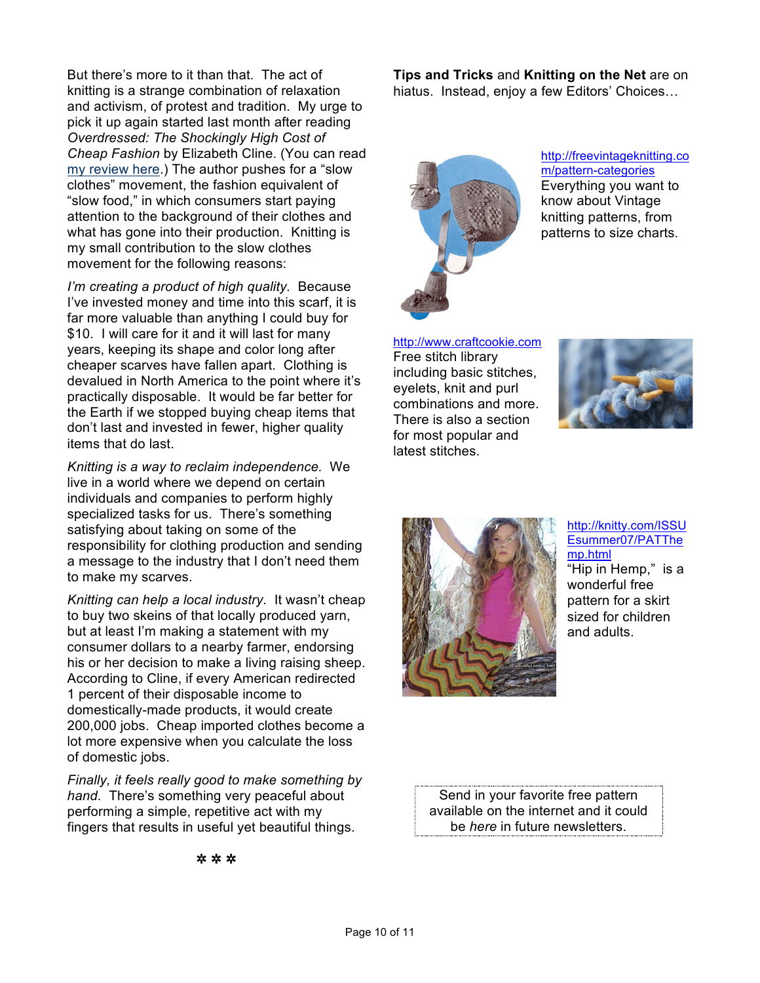But there's more to it than that. The act of knitting is a strange combination of relaxation and activism, of protest and tradition. My urge to pick it up again started last month after reading *Overdressed: The Shockingly High Cost of Cheap Fashion* by Elizabeth Cline. (You can read my review here.) The author pushes for a "slow clothes" movement, the fashion equivalent of "slow food," in which consumers start paying attention to the background of their clothes and what has gone into their production. Knitting is my small contribution to the slow clothes movement for the following reasons:

*I'm creating a product of high quality.* Because I've invested money and time into this scarf, it is far more valuable than anything I could buy for \$10. I will care for it and it will last for many years, keeping its shape and color long after cheaper scarves have fallen apart. Clothing is devalued in North America to the point where it's practically disposable. It would be far better for the Earth if we stopped buying cheap items that don't last and invested in fewer, higher quality items that do last.

*Knitting is a way to reclaim independence.* We live in a world where we depend on certain individuals and companies to perform highly specialized tasks for us. There's something satisfying about taking on some of the responsibility for clothing production and sending a message to the industry that I don't need them to make my scarves.

*Knitting can help a local industry.* It wasn't cheap to buy two skeins of that locally produced yarn, but at least I'm making a statement with my consumer dollars to a nearby farmer, endorsing his or her decision to make a living raising sheep. According to Cline, if every American redirected 1 percent of their disposable income to domestically-made products, it would create 200,000 jobs. Cheap imported clothes become a lot more expensive when you calculate the loss of domestic jobs.

*Finally, it feels really good to make something by hand.* There's something very peaceful about performing a simple, repetitive act with my fingers that results in useful yet beautiful things.

**Tips and Tricks** and **Knitting on the Net** are on hiatus. Instead, enjoy a few Editors' Choices…

![](_page_9_Picture_6.jpeg)

http://freevintageknitting.co m/pattern-categories Everything you want to know about Vintage knitting patterns, from patterns to size charts.

http://www.craftcookie.com

Free stitch library including basic stitches, eyelets, knit and purl combinations and more. There is also a section for most popular and latest stitches.

![](_page_9_Picture_10.jpeg)

![](_page_9_Picture_11.jpeg)

http://knitty.com/ISSU Esummer07/PATThe mp.html "Hip in Hemp," is a wonderful free pattern for a skirt sized for children

and adults.

Send in your favorite free pattern available on the internet and it could be *here* in future newsletters.

✲ ✲ ✲